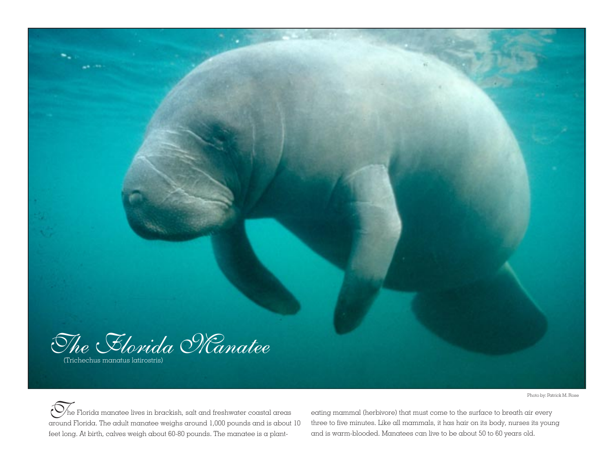

Photo by: Patrick M. Rose

 $\bigcirc$ he Florida manatee lives in brackish, salt and freshwater coastal areas around Florida. The adult manatee weighs around 1,000 pounds and is about 10 feet long. At birth, calves weigh about 60-80 pounds. The manatee is a plant-

eating mammal (herbivore) that must come to the surface to breath air every three to five minutes. Like all mammals, it has hair on its body, nurses its young and is warm-blooded. Manatees can live to be about 50 to 60 years old.